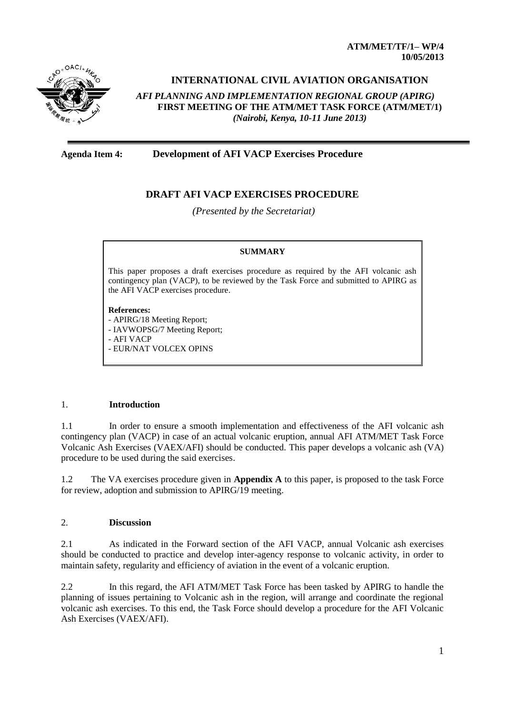**ATM/MET/TF/1– WP/4 10/05/2013**



# **INTERNATIONAL CIVIL AVIATION ORGANISATION**

*AFI PLANNING AND IMPLEMENTATION REGIONAL GROUP (APIRG)* **FIRST MEETING OF THE ATM/MET TASK FORCE (ATM/MET/1)**  *(Nairobi, Kenya, 10-11 June 2013)*

### **Agenda Item 4: Development of AFI VACP Exercises Procedure**

## **DRAFT AFI VACP EXERCISES PROCEDURE**

*(Presented by the Secretariat)*

#### **SUMMARY**

This paper proposes a draft exercises procedure as required by the AFI volcanic ash contingency plan (VACP), to be reviewed by the Task Force and submitted to APIRG as the AFI VACP exercises procedure.

#### **References:**

- APIRG/18 Meeting Report; - IAVWOPSG/7 Meeting Report; - AFI VACP - EUR/NAT VOLCEX OPINS

#### 1. **Introduction**

1.1 In order to ensure a smooth implementation and effectiveness of the AFI volcanic ash contingency plan (VACP) in case of an actual volcanic eruption, annual AFI ATM/MET Task Force Volcanic Ash Exercises (VAEX/AFI) should be conducted. This paper develops a volcanic ash (VA) procedure to be used during the said exercises.

1.2 The VA exercises procedure given in **Appendix A** to this paper, is proposed to the task Force for review, adoption and submission to APIRG/19 meeting.

### 2. **Discussion**

2.1 As indicated in the Forward section of the AFI VACP, annual Volcanic ash exercises should be conducted to practice and develop inter-agency response to volcanic activity, in order to maintain safety, regularity and efficiency of aviation in the event of a volcanic eruption.

2.2 In this regard, the AFI ATM/MET Task Force has been tasked by APIRG to handle the planning of issues pertaining to Volcanic ash in the region, will arrange and coordinate the regional volcanic ash exercises. To this end, the Task Force should develop a procedure for the AFI Volcanic Ash Exercises (VAEX/AFI).